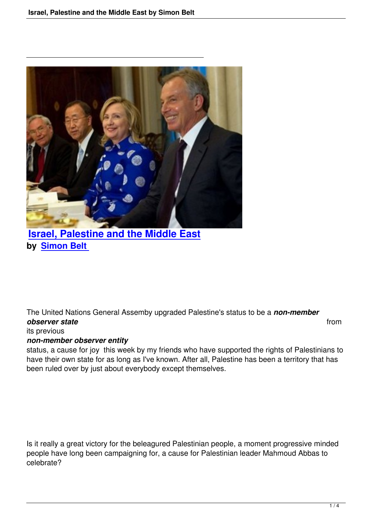

## **Israel, Palestine and the Middle East by Simon Belt**

The United Nations General Assemby upgraded Palestine's status to be a *non-member* **observer state** from **from** *from from from from from from from from from* 

## its previous

## *non-member observer entity*

status, a cause for joy this week by my friends who have supported the rights of Palestinians to have their own state for as long as I've known. After all, Palestine has been a territory that has been ruled over by just about everybody except themselves.

Is it really a great victory for the beleagured Palestinian people, a moment progressive minded people have long been campaigning for, a cause for Palestinian leader Mahmoud Abbas to celebrate?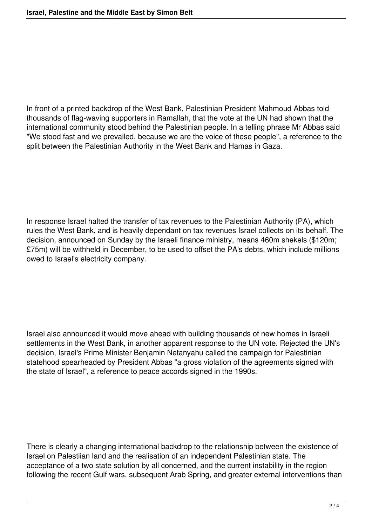In front of a printed backdrop of the West Bank, Palestinian President Mahmoud Abbas told thousands of flag-waving supporters in Ramallah, that the vote at the UN had shown that the international community stood behind the Palestinian people. In a telling phrase Mr Abbas said "We stood fast and we prevailed, because we are the voice of these people", a reference to the split between the Palestinian Authority in the West Bank and Hamas in Gaza.

In response Israel halted the transfer of tax revenues to the Palestinian Authority (PA), which rules the West Bank, and is heavily dependant on tax revenues Israel collects on its behalf. The decision, announced on Sunday by the Israeli finance ministry, means 460m shekels (\$120m; £75m) will be withheld in December, to be used to offset the PA's debts, which include millions owed to Israel's electricity company.

Israel also announced it would move ahead with building thousands of new homes in Israeli settlements in the West Bank, in another apparent response to the UN vote. Rejected the UN's decision, Israel's Prime Minister Benjamin Netanyahu called the campaign for Palestinian statehood spearheaded by President Abbas "a gross violation of the agreements signed with the state of Israel", a reference to peace accords signed in the 1990s.

There is clearly a changing international backdrop to the relationship between the existence of Israel on Palestiian land and the realisation of an independent Palestinian state. The acceptance of a two state solution by all concerned, and the current instability in the region following the recent Gulf wars, subsequent Arab Spring, and greater external interventions than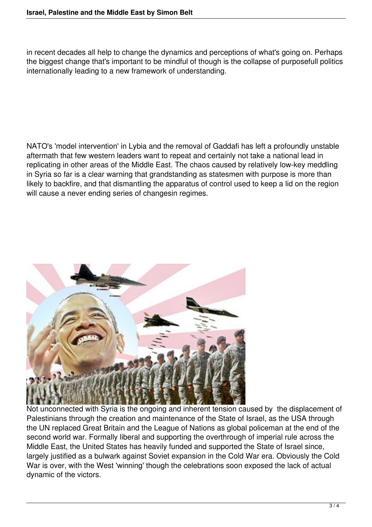in recent decades all help to change the dynamics and perceptions of what's going on. Perhaps the biggest change that's important to be mindful of though is the collapse of purposefull politics internationally leading to a new framework of understanding.

NATO's 'model intervention' in Lybia and the removal of Gaddafi has left a profoundly unstable aftermath that few western leaders want to repeat and certainly not take a national lead in replicating in other areas of the Middle East. The chaos caused by relatively low-key meddling in Syria so far is a clear warning that grandstanding as statesmen with purpose is more than likely to backfire, and that dismantling the apparatus of control used to keep a lid on the region will cause a never ending series of changesin regimes.



Not unconnected with Syria is the ongoing and inherent tension caused by the displacement of Palestinians through the creation and maintenance of the State of Israel, as the USA through the UN replaced Great Britain and the League of Nations as global policeman at the end of the second world war. Formally liberal and supporting the overthrough of imperial rule across the Middle East, the United States has heavily funded and supported the State of Israel since, largely justified as a bulwark against Soviet expansion in the Cold War era. Obviously the Cold War is over, with the West 'winning' though the celebrations soon exposed the lack of actual dynamic of the victors.